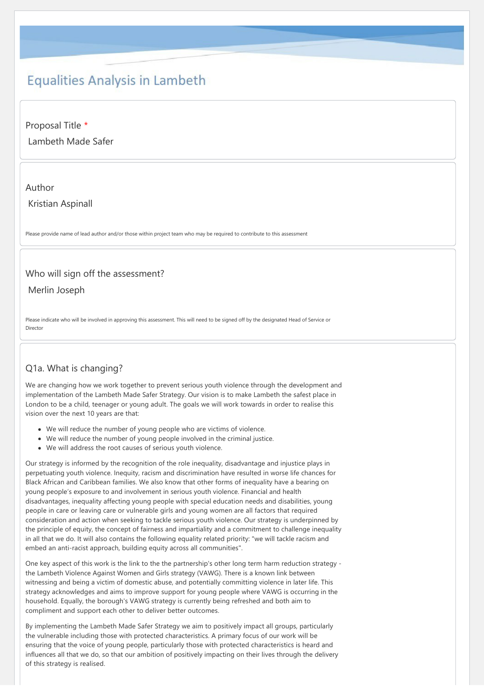# **Equalities Analysis in Lambeth**

Proposal Title \*

Lambeth Made Safer

#### Author

Kristian Aspinall

Please provide name of lead author and/or those within project team who may be required to contribute to this assessment

### Who will sign off the assessment?

Merlin Joseph

Please indicate who will be involved in approving this assessment. This will need to be signed off by the designated Head of Service or Director

# Q1a. What is changing?

We are changing how we work together to prevent serious youth violence through the development and implementation of the Lambeth Made Safer Strategy. Our vision is to make Lambeth the safest place in London to be a child, teenager or young adult. The goals we will work towards in order to realise this vision over the next 10 years are that:

- We will reduce the number of young people who are victims of violence.
- We will reduce the number of young people involved in the criminal justice.
- We will address the root causes of serious youth violence.

Our strategy is informed by the recognition of the role inequality, disadvantage and injustice plays in perpetuating youth violence. Inequity, racism and discrimination have resulted in worse life chances for Black African and Caribbean families. We also know that other forms of inequality have a bearing on young people's exposure to and involvement in serious youth violence. Financial and health disadvantages, inequality affecting young people with special education needs and disabilities, young people in care or leaving care or vulnerable girls and young women are all factors that required consideration and action when seeking to tackle serious youth violence. Our strategy is underpinned by the principle of equity, the concept of fairness and impartiality and a commitment to challenge inequality in all that we do. It will also contains the following equality related priority: "we will tackle racism and embed an anti-racist approach, building equity across all communities".

One key aspect of this work is the link to the the partnership's other long term harm reduction strategy the Lambeth Violence Against Women and Girls strategy (VAWG). There is a known link between witnessing and being a victim of domestic abuse, and potentially committing violence in later life. This strategy acknowledges and aims to improve support for young people where VAWG is occurring in the household. Equally, the borough's VAWG strategy is currently being refreshed and both aim to compliment and support each other to deliver better outcomes.

By implementing the Lambeth Made Safer Strategy we aim to positively impact all groups, particularly the vulnerable including those with protected characteristics. A primary focus of our work will be ensuring that the voice of young people, particularly those with protected characteristics is heard and influences all that we do, so that our ambition of positively impacting on their lives through the delivery of this strategy is realised.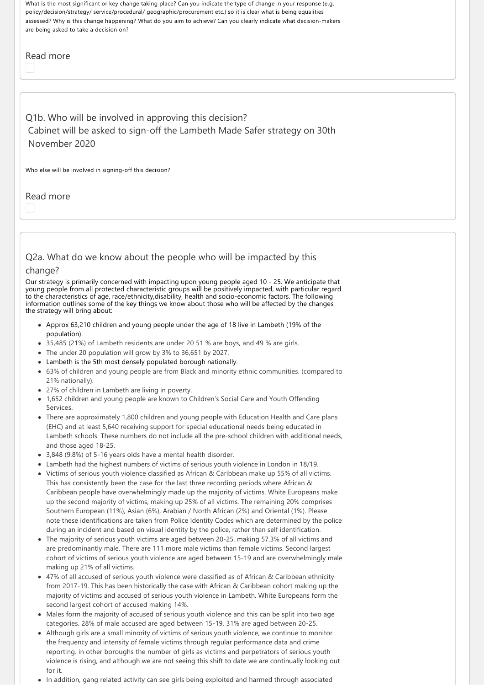What is the most significant or key change taking place? Can you indicate the type of change in your response (e.g. policy/decision/strategy/ service/procedural/ geographic/procurement etc.) so it is clear what is being equalities assessed? Why is this change happening? What do you aim to achieve? Can you clearly indicate what decision‐makers are being asked to take a decision on?

### Read more

Q1b. Who will be involved in approving this decision? Cabinet will be asked to sign‐off the Lambeth Made Safer strategy on 30th November 2020

Who else will be involved in signing‐off this decision?

Read more

Q2a. What do we know about the people who will be impacted by this

#### change?

Our strategy is primarily concerned with impacting upon young people aged 10 ‐ 25. We anticipate that young people from all protected characteristic groups will be positively impacted, with particular regard to the characteristics of age, race/ethnicity,disability, health and socio‐economic factors. The following information outlines some of the key things we know about those who will be affected by the changes the strategy will bring about:

- Approx 63,210 children and young people under the age of 18 live in Lambeth (19% of the population).
- 35,485 (21%) of Lambeth residents are under 20 51 % are boys, and 49 % are girls.
- The under 20 population will grow by 3% to 36,651 by 2027.
- Lambeth is the 5th most densely populated borough nationally.
- 63% of children and young people are from Black and minority ethnic communities. (compared to 21% nationally).
- 27% of children in Lambeth are living in poverty.
- 1,652 children and young people are known to Children's Social Care and Youth Offending Services.
- There are approximately 1,800 children and young people with Education Health and Care plans (EHC) and at least 5,640 receiving support for special educational needs being educated in Lambeth schools. These numbers do not include all the pre‐school children with additional needs, and those aged 18‐25.
- 3,848 (9.8%) of 5-16 years olds have a mental health disorder.
- Lambeth had the highest numbers of victims of serious youth violence in London in 18/19.
- Victims of serious youth violence classified as African & Caribbean make up 55% of all victims. This has consistently been the case for the last three recording periods where African & Caribbean people have overwhelmingly made up the majority of victims. White Europeans make up the second majority of victims, making up 25% of all victims. The remaining 20% comprises Southern European (11%), Asian (6%), Arabian / North African (2%) and Oriental (1%). Please note these identifications are taken from Police Identity Codes which are determined by the police during an incident and based on visual identity by the police, rather than self identification.
- The majority of serious youth victims are aged between 20‐25, making 57.3% of all victims and are predominantly male. There are 111 more male victims than female victims. Second largest cohort of victims of serious youth violence are aged between 15‐19 and are overwhelmingly male making up 21% of all victims.
- 47% of all accused of serious youth violence were classified as of African & Caribbean ethnicity from 2017-19. This has been historically the case with African & Caribbean cohort making up the majority of victims and accused of serious youth violence in Lambeth. White Europeans form the second largest cohort of accused making 14%.
- Males form the majority of accused of serious youth violence and this can be split into two age categories. 28% of male accused are aged between 15‐19, 31% are aged between 20‐25.
- Although girls are a small minority of victims of serious youth violence, we continue to monitor the frequency and intensity of female victims through regular performance data and crime reporting. in other boroughs the number of girls as victims and perpetrators of serious youth violence is rising, and although we are not seeing this shift to date we are continually looking out for it.
- In addition, gang related activity can see girls being exploited and harmed through associated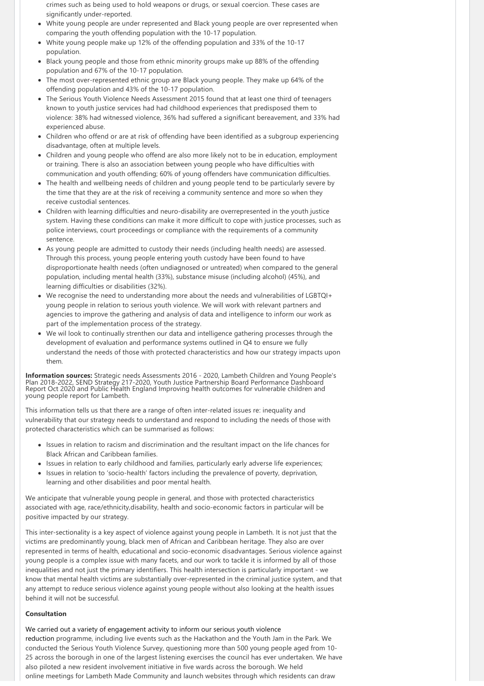crimes such as being used to hold weapons or drugs, or sexual coercion. These cases are significantly under‐reported.

- White young people are under represented and Black young people are over represented when comparing the youth offending population with the 10‐17 population.
- White young people make up 12% of the offending population and 33% of the 10‐17 population.
- Black young people and those from ethnic minority groups make up 88% of the offending population and 67% of the 10‐17 population.
- The most over-represented ethnic group are Black young people. They make up 64% of the offending population and 43% of the 10‐17 population.
- The Serious Youth Violence Needs Assessment 2015 found that at least one third of teenagers known to youth justice services had had childhood experiences that predisposed them to violence: 38% had witnessed violence, 36% had suffered a significant bereavement, and 33% had experienced abuse.
- Children who offend or are at risk of offending have been identified as a subgroup experiencing disadvantage, often at multiple levels.
- Children and young people who offend are also more likely not to be in education, employment or training. There is also an association between young people who have difficulties with communication and youth offending; 60% of young offenders have communication difficulties.
- The health and wellbeing needs of children and young people tend to be particularly severe by the time that they are at the risk of receiving a community sentence and more so when they receive custodial sentences.
- Children with learning difficulties and neuro‐disability are overrepresented in the youth justice system. Having these conditions can make it more difficult to cope with justice processes, such as police interviews, court proceedings or compliance with the requirements of a community sentence.
- As young people are admitted to custody their needs (including health needs) are assessed. Through this process, young people entering youth custody have been found to have disproportionate health needs (often undiagnosed or untreated) when compared to the general population, including mental health (33%), substance misuse (including alcohol) (45%), and learning difficulties or disabilities (32%).
- We recognise the need to understanding more about the needs and vulnerabilities of LGBTQI+ young people in relation to serious youth violence. We will work with relevant partners and agencies to improve the gathering and analysis of data and intelligence to inform our work as part of the implementation process of the strategy.
- We wil look to continually strenthen our data and intelligence gathering processes through the development of evaluation and performance systems outlined in Q4 to ensure we fully understand the needs of those with protected characteristics and how our strategy impacts upon them.

**Information sources:** Strategic needs Assessments 2016 ‐ 2020, Lambeth Children and Young People's Plan 2018‐2022, SEND Strategy 217‐2020, Youth Justice Partnership Board Performance Dashboard Report Oct 2020 and Public Health England Improving health outcomes for vulnerable children and young people report for Lambeth.

This information tells us that there are a range of often inter‐related issues re: inequality and vulnerability that our strategy needs to understand and respond to including the needs of those with protected characteristics which can be summarised as follows:

- Issues in relation to racism and discrimination and the resultant impact on the life chances for Black African and Caribbean families.
- Issues in relation to early childhood and families, particularly early adverse life experiences;
- Issues in relation to 'socio-health' factors including the prevalence of poverty, deprivation, learning and other disabilities and poor mental health.

We anticipate that vulnerable young people in general, and those with protected characteristics associated with age, race/ethnicity,disability, health and socio‐economic factors in particular will be positive impacted by our strategy.

This inter‐sectionality is a key aspect of violence against young people in Lambeth. It is not just that the victims are predominantly young, black men of African and Caribbean heritage. They also are over represented in terms of health, educational and socio‐economic disadvantages. Serious violence against young people is a complex issue with many facets, and our work to tackle it is informed by all of those inequalities and not just the primary identifiers. This health intersection is particularly important ‐ we know that mental health victims are substantially over‐represented in the criminal justice system, and that any attempt to reduce serious violence against young people without also looking at the health issues behind it will not be successful.

#### **Consultation**

We carried out a variety of engagement activity to inform our serious youth violence reduction programme, including live events such as the Hackathon and the Youth Jam in the Park. We conducted the Serious Youth Violence Survey, questioning more than 500 young people aged from 10‐ 25 across the borough in one of the largest listening exercises the council has ever undertaken. We have also piloted a new resident involvement initiative in five wards across the borough. We held online meetings for Lambeth Made Community and launch websites through which residents can draw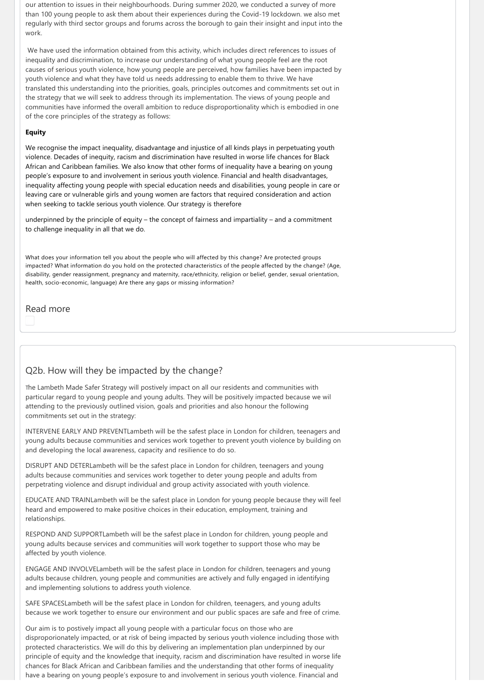our attention to issues in their neighbourhoods. During summer 2020, we conducted a survey of more than 100 young people to ask them about their experiences during the Covid-19 lockdown. we also met regularly with third sector groups and forums across the borough to gain their insight and input into the work.

We have used the information obtained from this activity, which includes direct references to issues of inequality and discrimination, to increase our understanding of what young people feel are the root causes of serious youth violence, how young people are perceived, how families have been impacted by youth violence and what they have told us needs addressing to enable them to thrive. We have translated this understanding into the priorities, goals, principles outcomes and commitments set out in the strategy that we will seek to address through its implementation. The views of young people and communities have informed the overall ambition to reduce disproportionality which is embodied in one of the core principles of the strategy as follows:

#### **Equity**

We recognise the impact inequality, disadvantage and injustice of all kinds plays in perpetuating youth violence. Decades of inequity, racism and discrimination have resulted in worse life chances for Black African and Caribbean families. We also know that other forms of inequality have a bearing on young people's exposure to and involvement in serious youth violence. Financial and health disadvantages, inequality affecting young people with special education needs and disabilities, young people in care or leaving care or vulnerable girls and young women are factors that required consideration and action when seeking to tackle serious youth violence. Our strategy is therefore

underpinned by the principle of equity – the concept of fairness and impartiality – and a commitment to challenge inequality in all that we do.

What does your information tell you about the people who will affected by this change? Are protected groups impacted? What information do you hold on the protected characteristics of the people affected by the change? (Age, disability, gender reassignment, pregnancy and maternity, race/ethnicity, religion or belief, gender, sexual orientation, health, socio-economic, language) Are there any gaps or missing information?

Read more

### Q2b. How will they be impacted by the change?

The Lambeth Made Safer Strategy will postively impact on all our residents and communities with particular regard to young people and young adults. They will be positively impacted because we wil attending to the previously outlined vision, goals and priorities and also honour the following commitments set out in the strategy:

INTERVENE EARLY AND PREVENTLambeth will be the safest place in London for children, teenagers and young adults because communities and services work together to prevent youth violence by building on and developing the local awareness, capacity and resilience to do so.

DISRUPT AND DETERLambeth will be the safest place in London for children, teenagers and young adults because communities and services work together to deter young people and adults from perpetrating violence and disrupt individual and group activity associated with youth violence.

EDUCATE AND TRAINLambeth will be the safest place in London for young people because they will feel heard and empowered to make positive choices in their education, employment, training and relationships.

RESPOND AND SUPPORTLambeth will be the safest place in London for children, young people and young adults because services and communities will work together to support those who may be affected by youth violence.

ENGAGE AND INVOLVELambeth will be the safest place in London for children, teenagers and young adults because children, young people and communities are actively and fully engaged in identifying and implementing solutions to address youth violence.

SAFE SPACESLambeth will be the safest place in London for children, teenagers, and young adults because we work together to ensure our environment and our public spaces are safe and free of crime.

Our aim is to postively impact all young people with a particular focus on those who are disproporionately impacted, or at risk of being impacted by serious youth violence including those with protected characteristics. We will do this by delivering an implementation plan underpinned by our principle of equity and the knowledge that inequity, racism and discrimination have resulted in worse life chances for Black African and Caribbean families and the understanding that other forms of inequality have a bearing on young people's exposure to and involvement in serious youth violence. Financial and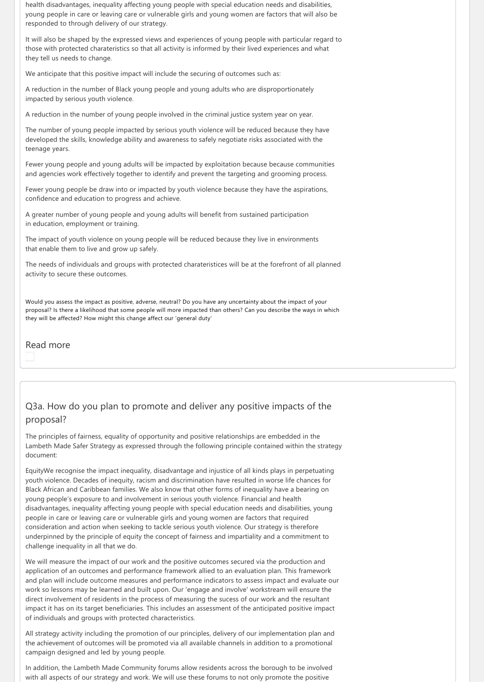health disadvantages, inequality affecting young people with special education needs and disabilities, young people in care or leaving care or vulnerable girls and young women are factors that will also be responded to through delivery of our strategy.

It will also be shaped by the expressed views and experiences of young people with particular regard to those with protected charateristics so that all activity is informed by their lived experiences and what they tell us needs to change.

We anticipate that this positive impact will include the securing of outcomes such as:

A reduction in the number of Black young people and young adults who are disproportionately impacted by serious youth violence.

A reduction in the number of young people involved in the criminal justice system year on year.

The number of young people impacted by serious youth violence will be reduced because they have developed the skills, knowledge ability and awareness to safely negotiate risks associated with the teenage years.

Fewer young people and young adults will be impacted by exploitation because because communities and agencies work effectively together to identify and prevent the targeting and grooming process.

Fewer young people be draw into or impacted by youth violence because they have the aspirations, confidence and education to progress and achieve.

A greater number of young people and young adults will benefit from sustained participation in education, employment or training.

The impact of youth violence on young people will be reduced because they live in environments that enable them to live and grow up safely.

The needs of individuals and groups with protected charateristices will be at the forefront of all planned activity to secure these outcomes.

Would you assess the impact as positive, adverse, neutral? Do you have any uncertainty about the impact of your proposal? Is there a likelihood that some people will more impacted than others? Can you describe the ways in which they will be affected? How might this change affect our 'general duty'

Read more

# Q3a. How do you plan to promote and deliver any positive impacts of the proposal?

The principles of fairness, equality of opportunity and positive relationships are embedded in the Lambeth Made Safer Strategy as expressed through the following principle contained within the strategy document:

EquityWe recognise the impact inequality, disadvantage and injustice of all kinds plays in perpetuating youth violence. Decades of inequity, racism and discrimination have resulted in worse life chances for Black African and Caribbean families. We also know that other forms of inequality have a bearing on young people's exposure to and involvement in serious youth violence. Financial and health disadvantages, inequality affecting young people with special education needs and disabilities, young people in care or leaving care or vulnerable girls and young women are factors that required consideration and action when seeking to tackle serious youth violence. Our strategy is therefore underpinned by the principle of equity the concept of fairness and impartiality and a commitment to challenge inequality in all that we do.

We will measure the impact of our work and the positive outcomes secured via the production and application of an outcomes and performance framework allied to an evaluation plan. This framework and plan will include outcome measures and performance indicators to assess impact and evaluate our work so lessons may be learned and built upon. Our 'engage and involve' workstream will ensure the direct involvement of residents in the process of measuring the sucess of our work and the resultant impact it has on its target beneficiaries. This includes an assessment of the anticipated positive impact of individuals and groups with protected characteristics.

All strategy activity including the promotion of our principles, delivery of our implementation plan and the achievement of outcomes will be promoted via all available channels in addition to a promotional campaign designed and led by young people.

In addition, the Lambeth Made Community forums allow residents across the borough to be involved with all aspects of our strategy and work. We will use these forums to not only promote the positive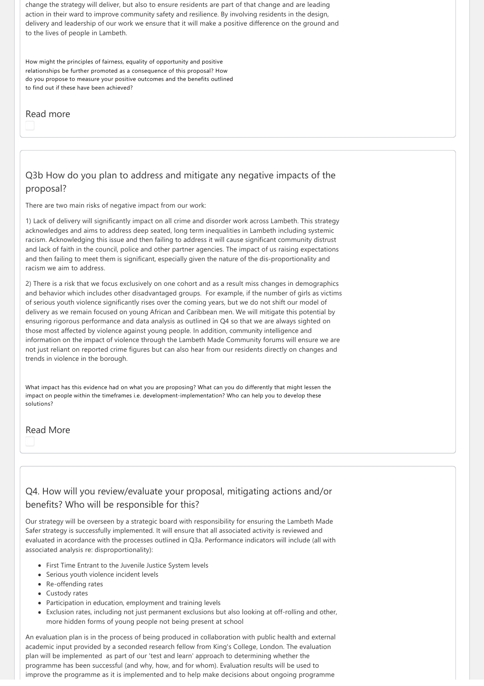change the strategy will deliver, but also to ensure residents are part of that change and are leading action in their ward to improve community safety and resilience. By involving residents in the design, delivery and leadership of our work we ensure that it will make a positive difference on the ground and to the lives of people in Lambeth.

How might the principles of fairness, equality of opportunity and positive relationships be further promoted as a consequence of this proposal? How do you propose to measure your positive outcomes and the benefits outlined to find out if these have been achieved?

### Read more

# Q3b How do you plan to address and mitigate any negative impacts of the proposal?

There are two main risks of negative impact from our work:

1) Lack of delivery will significantly impact on all crime and disorder work across Lambeth. This strategy acknowledges and aims to address deep seated, long term inequalities in Lambeth including systemic racism. Acknowledging this issue and then failing to address it will cause significant community distrust and lack of faith in the council, police and other partner agencies. The impact of us raising expectations and then failing to meet them is significant, especially given the nature of the dis‐proportionality and racism we aim to address.

2) There is a risk that we focus exclusively on one cohort and as a result miss changes in demographics and behavior which includes other disadvantaged groups. For example, if the number of girls as victims of serious youth violence significantly rises over the coming years, but we do not shift our model of delivery as we remain focused on young African and Caribbean men. We will mitigate this potential by ensuring rigorous performance and data analysis as outlined in Q4 so that we are always sighted on those most affected by violence against young people. In addition, community intelligence and information on the impact of violence through the Lambeth Made Community forums will ensure we are not just reliant on reported crime figures but can also hear from our residents directly on changes and trends in violence in the borough.

What impact has this evidence had on what you are proposing? What can you do differently that might lessen the impact on people within the timeframes i.e. development-implementation? Who can help you to develop these solutions?

#### Read More

# Q4. How will you review/evaluate your proposal, mitigating actions and/or benefits? Who will be responsible for this?

Our strategy will be overseen by a strategic board with responsibility for ensuring the Lambeth Made Safer strategy is successfully implemented. It will ensure that all associated activity is reviewed and evaluated in acordance with the processes outlined in O3a. Performance indicators will include (all with associated analysis re: disproportionality):

- First Time Entrant to the Juvenile Justice System levels
- Serious youth violence incident levels
- Re-offending rates
- Custody rates
- Participation in education, employment and training levels
- Exclusion rates, including not just permanent exclusions but also looking at off-rolling and other, more hidden forms of young people not being present at school

An evaluation plan is in the process of being produced in collaboration with public health and external academic input provided by a seconded research fellow from King's College, London. The evaluation plan will be implemented as part of our 'test and learn' approach to determining whether the programme has been successful (and why, how, and for whom). Evaluation results will be used to improve the programme as it is implemented and to help make decisions about ongoing programme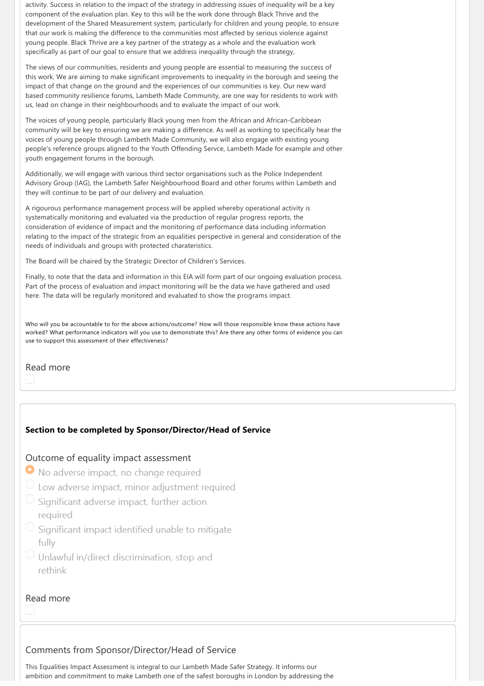activity. Success in relation to the impact of the strategy in addressing issues of inequality will be a key component of the evaluation plan. Key to this will be the work done through Black Thrive and the development of the Shared Measurement system, particularly for children and young people, to ensure that our work is making the difference to the communities most affected by serious violence against young people. Black Thrive are a key partner of the strategy as a whole and the evaluation work specifically as part of our goal to ensure that we address inequality through the strategy,

The views of our communities, residents and young people are essential to measuring the success of this work. We are aiming to make significant improvements to inequality in the borough and seeing the impact of that change on the ground and the experiences of our communities is key. Our new ward based community resilience forums, Lambeth Made Community, are one way for residents to work with us, lead on change in their neighbourhoods and to evaluate the impact of our work.

The voices of young people, particularly Black young men from the African and African‐Caribbean community will be key to ensuring we are making a difference. As well as working to specifically hear the voices of young people through Lambeth Made Community, we will also engage with existing young people's reference groups aligned to the Youth Offending Servce, Lambeth Made for example and other youth engagement forums in the borough.

Additionally, we will engage with various third sector organisations such as the Police Independent Advisory Group (IAG), the Lambeth Safer Neighbourhood Board and other forums within Lambeth and they will continue to be part of our delivery and evaluation.

A rigourous performance management process will be applied whereby operational activity is systematically monitoring and evaluated via the production of regular progress reports, the consideration of evidence of impact and the monitoring of performance data including information relating to the impact of the strategic from an equalities perspective in general and consideration of the needs of individuals and groups with protected charateristics.

The Board will be chaired by the Strategic Director of Children's Services.

Finally, to note that the data and information in this EIA will form part of our ongoing evaluation process. Part of the process of evaluation and impact monitoring will be the data we have gathered and used here. The data will be regularly monitored and evaluated to show the programs impact.

Who will you be accountable to for the above actions/outcome? How will those responsible know these actions have worked? What performance indicators will you use to demonstrate this? Are there any other forms of evidence you can use to support this assessment of their effectiveness?

Read more

# **Section to be completed by Sponsor/Director/Head of Service**

### Outcome of equality impact assessment

- No adverse impact, no change required
- C Low adverse impact, minor adjustment required
- Significant adverse impact, further action required
- Significant impact identified unable to mitigate fully
- O Unlawful in/direct discrimination, stop and rethink

# Read more

# Comments from Sponsor/Director/Head of Service

This Equalities Impact Assessment is integral to our Lambeth Made Safer Strategy. It informs our ambition and commitment to make Lambeth one of the safest boroughs in London by addressing the